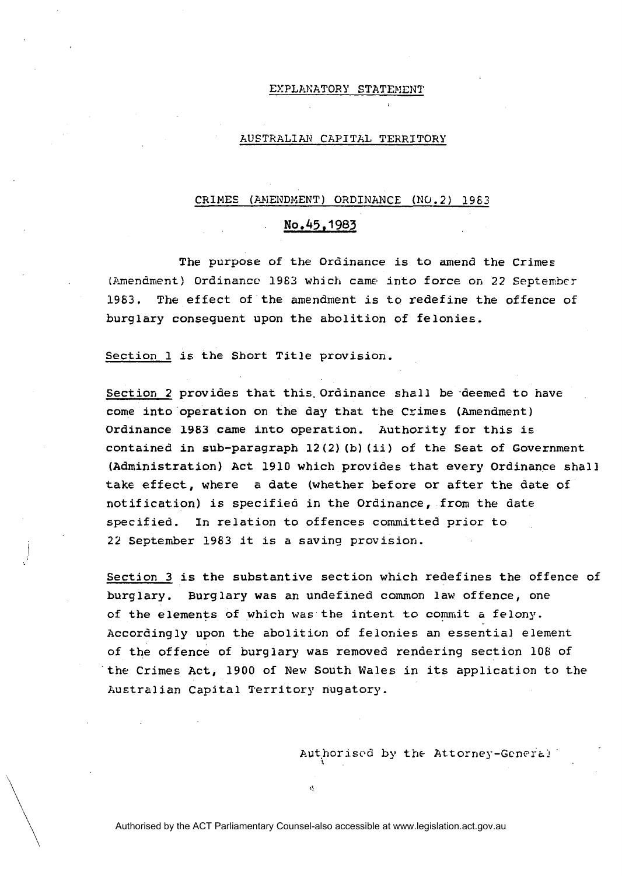### EXPLANATORY STATEMENT

## AUSTRALIAN CAPITAL TERRITORY

### CRIMES (AMENDMENT) ORDINANCE (NO. 2) 1983

# **No.45.1983**

The purpose of the Ordinance is to amend the Crimes (.imendment) Ordinance 1983 which came into force **on** 22 Septenbcr 1963. The effect of the amendment is to redefine the offence of burglary consequent upon the abolition of felonies.

Section 1 is the Short Title provision.

Section 2 provides that this Ordinance shall be deemed to have come into' operation on the day that the Crimes (Amendment) Ordinance 1983 came into operation. Authority for this is contained in sub-paragraph 12(2) (b) (ii) of the Seat of Government (Administration) Act 1910 which provides that every Ordinance shall take effect, where a date (whether before or after the date of notification) is specified in the Ordinance, from the date specified. In relation to offences committed prior to 22 September 1963 it is a saving provision.

Section **3** is the substantive section which redefines the offence of burglary. Burglary was an undefined common law offence, one of the elements of which was the intent to commit a felony. Accordingly upon the abolition of felonies an essential element of the offence of burglary was removed rendering section 106 of the Crimes Act, 1900 of New South Wales in its application to the Australian Capital Territory nugatory.

Authorised by the Attorney-General

Authorised by the ACT Parliamentary Counsel-also accessible at www.legislation.act.gov.au

I'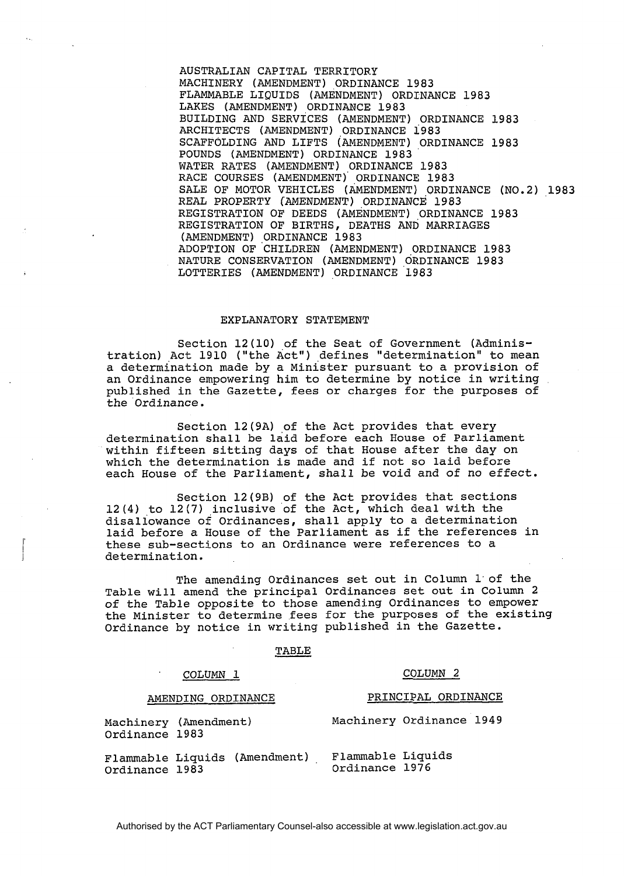AUSTRALIAN CAPITAL TERRITORY MACHINERY (AMENDMENT) ORDINANCE 1983 FLAMMABLE LIQUIDS (AMENDMENT) ORDINANCE 1983 LAKES (AMENDMENT) ORDINANCE 1983 BUILDING AND SERVICES (AMENDMENT) ORDINANCE 1983 ARCHITECTS (AMENDMENT) ORDINANCE 1983 SCAFFOLDING AND LIFTS (AMENDMENT) ORDINANCE 1983 POUNDS (AMENDMENT) ORDINANCE 1983 WATER RATES (AMENDMENT) ORDINANCE 1983 RACE COURSES (AMENDMENT) ORDINANCE 1983 SALE OF MOTOR VEHICLES (AMENDMENT) ORDINANCE (NO.2) 1983 REAL PROPERTY (AMENDMENT) ORDINANCE 1983 REGISTRATION OF DEEDS (AMENDMENT) ORDINANCE 1983 REGISTRATION OF BIRTHS, DEATHS AND MARRIAGES (AMENDMENT) ORDINANCE 1983 ADOPTION OF CHILDREN (AMENDMENT) ORDINANCE 1983 NATURE CONSERVATION (AMENDMENT) ORDINANCE 1983 LOTTERIES (AMENDMENT) ORDINANCE 1983

### EXPLANATORY STATEMENT

Section 12(10) of the Seat of Government (Administration) Act 1910 ("the Act") defines "determination" to mean a determination made by a Minister pursuant to a provision of an Ordinance empowering him to determine by notice in writing published in the Gazette, fees or charges for the purposes of the Ordinance.

Section 12(9A) of the Act provides that every determination shall be laid before each House of Parliament within fifteen sitting days of that House after the day on which the determination is made and if not so laid before each House of the Parliament, shall be void and of no effect.

Section 12(9B) of the Act provides that sections 12(4) to 12(7) inclusive of the Act, which deal with the disallowance of Ordinances, shall apply to a determination laid before a House of the Parliament as if the references in these sub-sections to an Ordinance were references to a determination.

The amending Ordinances set out in Column 1'of the Table will amend the principal Ordinances set out in Column 2 of the Table opposite to those amending Ordinances to empower the Minister to determine fees for the purposes of the existing Ordinance by notice in writing published in the Gazette. rdinances sencipal Ordinances<br>
bit those amenes<br>
e fees for<br>
riting publi<br>
<u>TABLE</u>

### COLUMN **1** COLUMN **2**

# AMENDING ORDINANCE PRINCIPAL ORDINANCE Machinery (Amendment) Ordinance 1983 Machinery Ordinance 1949 Flammable Liquids (Amendment) , Flammable Liquids<br>Ordinance 1983 Ordinance 1983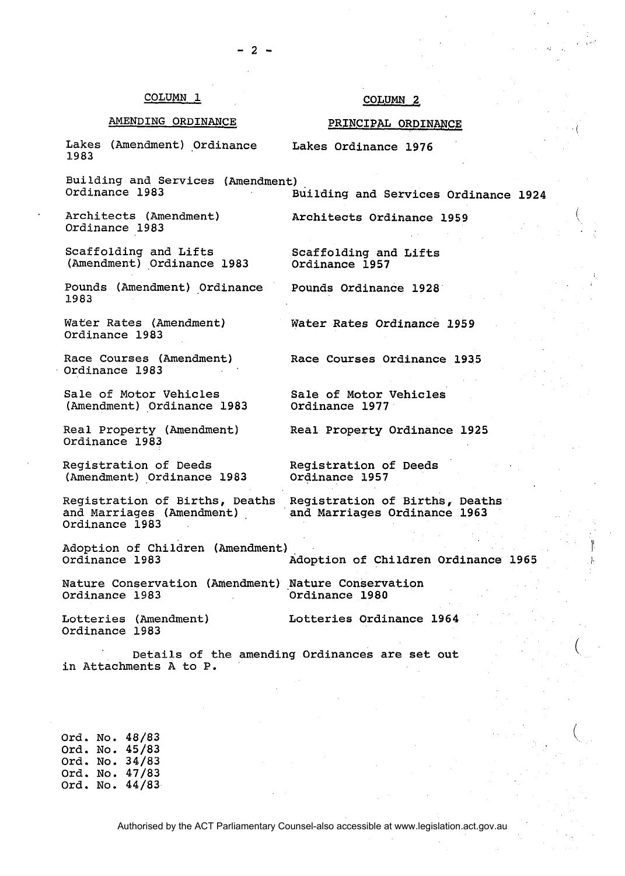### COLUMN **,1**

## COLUMN<sub>2</sub>

# AMENDING ORDINANCE PRINCIPAL ORDINANCE

i

 $\binom{1}{2}$ 

Lakes (Amendment) Ordinance Lakes Ordinance 1976 **1983** 

Building and Services (Amendment)<br>Ordinance 1983 Ordinance **1983** Building and Services Ordinance **1924** 

Architects (Amendment) Architects Ordinance **1959**  Ordinance **1983** 

Scaffolding and Lifts Scaffolding and Lifts<br>(Amendment) Ordinance 1983 Ordinance 1957  $($ Amendment) Ordinance 1983

Pounds (Amendment) Ordinance Pounds Ordinance 1928 **1983** 

Water Rates (Amendment) Water Rates Ordinance **1959**  Ordinance **1983** 

Race Courses (Amendment) Race Courses Ordinance **1935**  Ordinance **1983** 

Sale of Motor Vehicles<br>
(Amendment) Ordinance 1983 Ordinance 1977 (Amendment) Ordinance 1983

Real Property (Amendment) Real Property Ordinance **1925**  Ordinance **1983** 

Registration of Deeds Registration of Deeds (Amendment) Ordinance 1983

Registration of Births, Deaths Registration of Births, Deaths<br>and Marriages (Amendment) and Marriages Ordinance 1963 and Marriages Ordinance 1963

Adoption of Children (Amendment)<br>Ordinance 1983 Ordinance **1983** Adoption of Children Ordinance **1965** /

Nature Conservation (Amendment) ,Nature Conservation

Ordinance **1983** Ordinance **1980** 

Lotteries (Amendment) Ordinance **1983** 

Ordinance **1983** 

Lotteries Ordinance **1964** 

Details of the amending Ordinances are set out in Attachments A to P.

Ord. No. **48/83**  Ord. No. **45/83**  Ord. No. **34/83**  Ord. No. **47/83**  Ord. No. **44/83** 

Authorised by the ACT Parliamentary Counsel-also accessible at www.legislation.act.gov.au